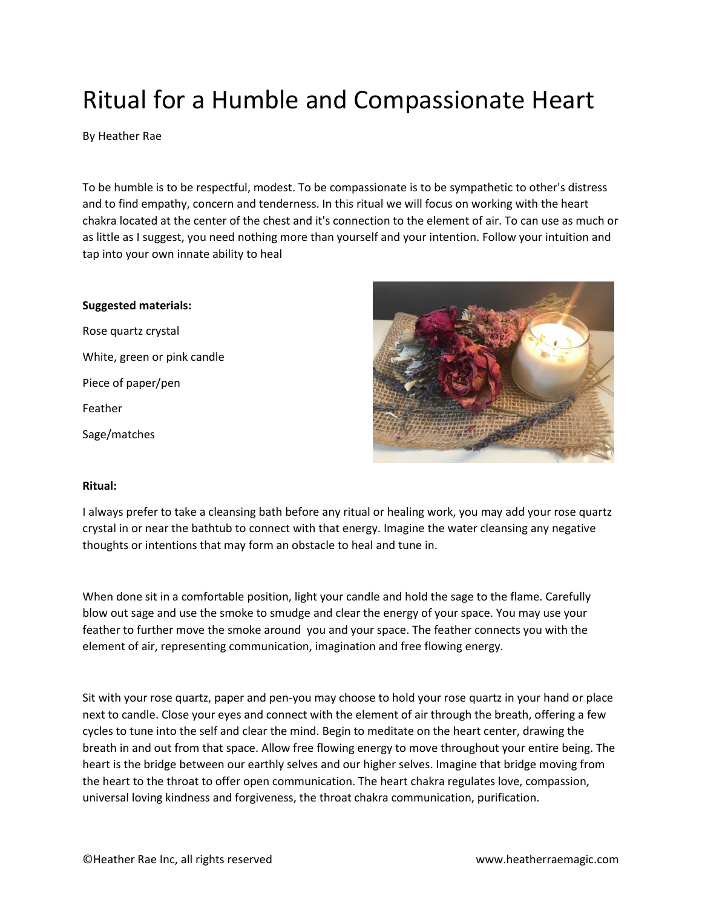## Ritual for a Humble and Compassionate Heart

By Heather Rae

To be humble is to be respectful, modest. To be compassionate is to be sympathetic to other's distress and to find empathy, concern and tenderness. In this ritual we will focus on working with the heart chakra located at the center of the chest and it's connection to the element of air. To can use as much or as little as I suggest, you need nothing more than yourself and your intention. Follow your intuition and tap into your own innate ability to heal

## **Suggested materials:**

Rose quartz crystal White, green or pink candle Piece of paper/pen Feather Sage/matches



## **Ritual:**

I always prefer to take a cleansing bath before any ritual or healing work, you may add your rose quartz crystal in or near the bathtub to connect with that energy. Imagine the water cleansing any negative thoughts or intentions that may form an obstacle to heal and tune in.

When done sit in a comfortable position, light your candle and hold the sage to the flame. Carefully blow out sage and use the smoke to smudge and clear the energy of your space. You may use your feather to further move the smoke around you and your space. The feather connects you with the element of air, representing communication, imagination and free flowing energy.

Sit with your rose quartz, paper and pen-you may choose to hold your rose quartz in your hand or place next to candle. Close your eyes and connect with the element of air through the breath, offering a few cycles to tune into the self and clear the mind. Begin to meditate on the heart center, drawing the breath in and out from that space. Allow free flowing energy to move throughout your entire being. The heart is the bridge between our earthly selves and our higher selves. Imagine that bridge moving from the heart to the throat to offer open communication. The heart chakra regulates love, compassion, universal loving kindness and forgiveness, the throat chakra communication, purification.